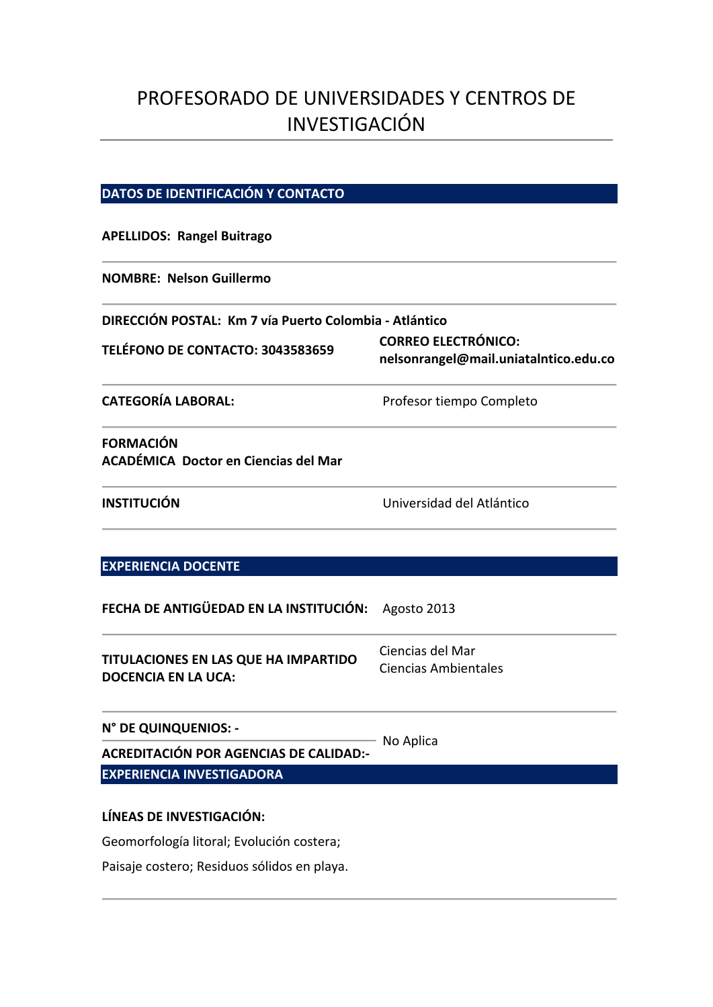# PROFESORADO DE UNIVERSIDADES Y CENTROS DE INVESTIGACIÓN

# **DATOS DE IDENTIFICACIÓN Y CONTACTO**

## **APELLIDOS: Rangel Buitrago**

### **NOMBRE: Nelson Guillermo**

| DIRECCIÓN POSTAL: Km 7 vía Puerto Colombia - Atlántico |                                                                     |
|--------------------------------------------------------|---------------------------------------------------------------------|
| TELÉFONO DE CONTACTO: 3043583659                       | <b>CORREO ELECTRÓNICO:</b><br>nelsonrangel@mail.uniatalntico.edu.co |
| <b>CATEGORÍA LABORAL:</b>                              | Profesor tiempo Completo                                            |

# **FORMACIÓN ACADÉMICA Doctor en Ciencias del Mar**

**INSTITUCIÓN** Universidad del Atlántico

# **EXPERIENCIA DOCENTE**

**FECHA DE ANTIGÜEDAD EN LA INSTITUCIÓN:** Agosto 2013

| TITULACIONES EN LAS QUE HA IMPARTIDO<br><b>DOCENCIA EN LA UCA:</b> | Ciencias del Mar     |
|--------------------------------------------------------------------|----------------------|
|                                                                    | Ciencias Ambientales |

# **N° DE QUINQUENIOS: ‐ ACREDITACIÓN POR AGENCIAS DE CALIDAD:-** No Aplica **EXPERIENCIA INVESTIGADORA**

# **LÍNEAS DE INVESTIGACIÓN:**

Geomorfología litoral; Evolución costera;

Paisaje costero; Residuos sólidos en playa.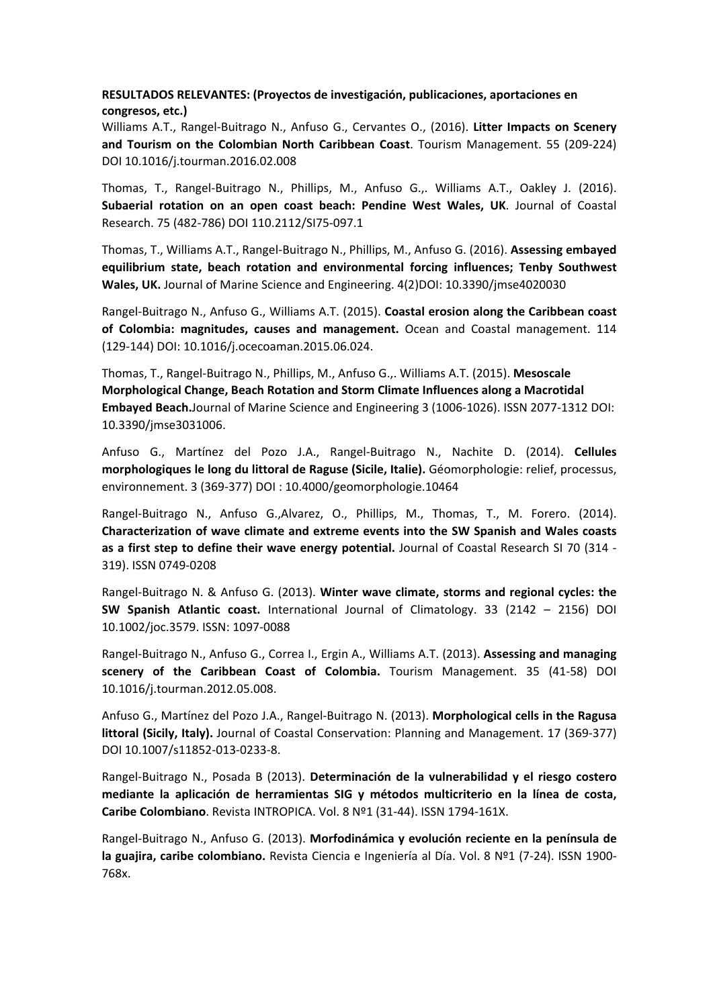# **RESULTADOS RELEVANTES: (Proyectos de investigación, publicaciones, aportaciones en congresos, etc.)**

Williams A.T., Rangel‐Buitrago N., Anfuso G., Cervantes O., (2016). **Litter Impacts on Scenery and Tourism on the Colombian North Caribbean Coast**. Tourism Management. 55 (209‐224) DOI 10.1016/j.tourman.2016.02.008

Thomas, T., Rangel‐Buitrago N., Phillips, M., Anfuso G.,. Williams A.T., Oakley J. (2016). **Subaerial rotation on an open coast beach: Pendine West Wales, UK**. Journal of Coastal Research. 75 (482‐786) DOI 110.2112/SI75‐097.1

Thomas, T., Williams A.T., Rangel‐Buitrago N., Phillips, M., Anfuso G. (2016). **Assessing embayed equilibrium state, beach rotation and environmental forcing influences; Tenby Southwest Wales, UK.** Journal of Marine Science and Engineering. 4(2)DOI: 10.3390/jmse4020030

Rangel‐Buitrago N., Anfuso G., Williams A.T. (2015). **Coastal erosion along the Caribbean coast of Colombia: magnitudes, causes and management.**  Ocean and Coastal management. 114 (129‐144) DOI: 10.1016/j.ocecoaman.2015.06.024.

Thomas, T., Rangel‐Buitrago N., Phillips, M., Anfuso G.,. Williams A.T. (2015). **Mesoscale Morphological Change, Beach Rotation and Storm Climate Influences along a Macrotidal Embayed Beach.**Journal of Marine Science and Engineering 3 (1006‐1026). ISSN 2077‐1312 DOI: 10.3390/jmse3031006.

Anfuso G., Martínez del Pozo J.A., Rangel‐Buitrago N., Nachite D. (2014). **Cellules morphologiques le long du littoral de Raguse (Sicile, Italie).** Géomorphologie: relief, processus, environnement. 3 (369‐377) DOI : 10.4000/geomorphologie.10464

Rangel‐Buitrago N., Anfuso G.,Alvarez, O., Phillips, M., Thomas, T., M. Forero. (2014). **Characterization of wave climate and extreme events into the SW Spanish and Wales coasts as a first step to define their wave energy potential.** Journal of Coastal Research SI 70 (314 ‐ 319). ISSN 0749‐0208

Rangel‐Buitrago N. & Anfuso G. (2013). **Winter wave climate, storms and regional cycles: the SW Spanish Atlantic coast.** International Journal of Climatology. 33 (2142 – 2156) DOI 10.1002/joc.3579. ISSN: 1097‐0088

Rangel‐Buitrago N., Anfuso G., Correa I., Ergin A., Williams A.T. (2013). **Assessing and managing scenery of the Caribbean Coast of Colombia.**  Tourism Management. 35 (41‐58) DOI 10.1016/j.tourman.2012.05.008.

Anfuso G., Martínez del Pozo J.A., Rangel‐Buitrago N. (2013). **Morphological cells in the Ragusa littoral (Sicily, Italy).** Journal of Coastal Conservation: Planning and Management. 17 (369‐377) DOI 10.1007/s11852‐013‐0233‐8.

Rangel‐Buitrago N., Posada B (2013). **Determinación de la vulnerabilidad y el riesgo costero mediante la aplicación de herramientas SIG y métodos multicriterio en la línea de costa, Caribe Colombiano**. Revista INTROPICA. Vol. 8 Nº1 (31‐44). ISSN 1794‐161X.

Rangel‐Buitrago N., Anfuso G. (2013). **Morfodinámica y evolución reciente en la península de la guajira, caribe colombiano.** Revista Ciencia e Ingeniería al Día. Vol. 8 Nº1 (7‐24). ISSN 1900‐ 768x.